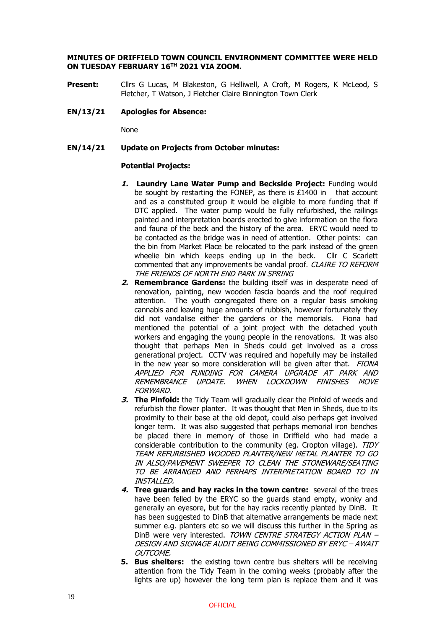## **MINUTES OF DRIFFIELD TOWN COUNCIL ENVIRONMENT COMMITTEE WERE HELD ON TUESDAY FEBRUARY 16TH 2021 VIA ZOOM.**

**Present:** Cllrs G Lucas, M Blakeston, G Helliwell, A Croft, M Rogers, K McLeod, S Fletcher, T Watson, J Fletcher Claire Binnington Town Clerk

### **EN/13/21 Apologies for Absence:**

None

## **EN/14/21 Update on Projects from October minutes:**

#### **Potential Projects:**

- **1. Laundry Lane Water Pump and Beckside Project:** Funding would be sought by restarting the FONEP, as there is  $£1400$  in that account and as a constituted group it would be eligible to more funding that if DTC applied. The water pump would be fully refurbished, the railings painted and interpretation boards erected to give information on the flora and fauna of the beck and the history of the area. ERYC would need to be contacted as the bridge was in need of attention. Other points: can the bin from Market Place be relocated to the park instead of the green wheelie bin which keeps ending up in the beck. Cllr C Scarlett commented that any improvements be vandal proof. CLAIRE TO REFORM THE FRIENDS OF NORTH END PARK IN SPRING
- **2. Remembrance Gardens:** the building itself was in desperate need of renovation, painting, new wooden fascia boards and the roof required attention. The youth congregated there on a regular basis smoking cannabis and leaving huge amounts of rubbish, however fortunately they did not vandalise either the gardens or the memorials. Fiona had mentioned the potential of a joint project with the detached youth workers and engaging the young people in the renovations. It was also thought that perhaps Men in Sheds could get involved as a cross generational project. CCTV was required and hopefully may be installed in the new year so more consideration will be given after that. FIONA APPLIED FOR FUNDING FOR CAMERA UPGRADE AT PARK AND REMEMBRANCE UPDATE. WHEN LOCKDOWN FINISHES MOVE FORWARD.
- **3. The Pinfold:** the Tidy Team will gradually clear the Pinfold of weeds and refurbish the flower planter. It was thought that Men in Sheds, due to its proximity to their base at the old depot, could also perhaps get involved longer term. It was also suggested that perhaps memorial iron benches be placed there in memory of those in Driffield who had made a considerable contribution to the community (eq. Cropton village). TIDY TEAM REFURBISHED WOODED PLANTER/NEW METAL PLANTER TO GO IN ALSO/PAVEMENT SWEEPER TO CLEAN THE STONEWARE/SEATING TO BE ARRANGED AND PERHAPS INTERPRETATION BOARD TO IN INSTALLED.
- **4. Tree guards and hay racks in the town centre:** several of the trees have been felled by the ERYC so the guards stand empty, wonky and generally an eyesore, but for the hay racks recently planted by DinB. It has been suggested to DinB that alternative arrangements be made next summer e.g. planters etc so we will discuss this further in the Spring as DinB were very interested. TOWN CENTRE STRATEGY ACTION PLAN -DESIGN AND SIGNAGE AUDIT BEING COMMISSIONED BY ERYC – AWAIT OUTCOME.
- **5. Bus shelters:** the existing town centre bus shelters will be receiving attention from the Tidy Team in the coming weeks (probably after the lights are up) however the long term plan is replace them and it was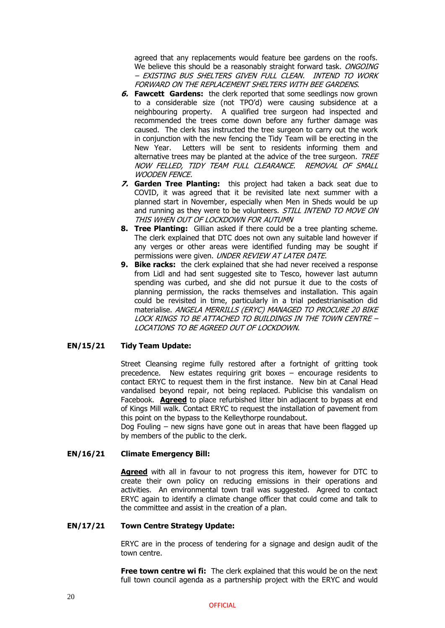agreed that any replacements would feature bee gardens on the roofs. We believe this should be a reasonably straight forward task. ONGOING – EXISTING BUS SHELTERS GIVEN FULL CLEAN. INTEND TO WORK FORWARD ON THE REPLACEMENT SHELTERS WITH BEE GARDENS.

- **6. Fawcett Gardens:** the clerk reported that some seedlings now grown to a considerable size (not TPO'd) were causing subsidence at a neighbouring property. A qualified tree surgeon had inspected and recommended the trees come down before any further damage was caused. The clerk has instructed the tree surgeon to carry out the work in conjunction with the new fencing the Tidy Team will be erecting in the New Year. Letters will be sent to residents informing them and alternative trees may be planted at the advice of the tree surgeon. TREE NOW FELLED, TIDY TEAM FULL CLEARANCE. REMOVAL OF SMALL WOODEN FENCE.
- **7. Garden Tree Planting:** this project had taken a back seat due to COVID, it was agreed that it be revisited late next summer with a planned start in November, especially when Men in Sheds would be up and running as they were to be volunteers. STILL INTEND TO MOVE ON THIS WHEN OUT OF LOCKDOWN FOR AUTUMN
- **8. Tree Planting:** Gillian asked if there could be a tree planting scheme. The clerk explained that DTC does not own any suitable land however if any verges or other areas were identified funding may be sought if permissions were given. UNDER REVIEW AT LATER DATE.
- **9. Bike racks:** the clerk explained that she had never received a response from Lidl and had sent suggested site to Tesco, however last autumn spending was curbed, and she did not pursue it due to the costs of planning permission, the racks themselves and installation. This again could be revisited in time, particularly in a trial pedestrianisation did materialise. ANGELA MERRILLS (ERYC) MANAGED TO PROCURE 20 BIKE LOCK RINGS TO BE ATTACHED TO BUILDINGS IN THE TOWN CENTRE – LOCATIONS TO BE AGREED OUT OF LOCKDOWN.

# **EN/15/21 Tidy Team Update:**

Street Cleansing regime fully restored after a fortnight of gritting took precedence. New estates requiring grit boxes – encourage residents to contact ERYC to request them in the first instance. New bin at Canal Head vandalised beyond repair, not being replaced. Publicise this vandalism on Facebook. **Agreed** to place refurbished litter bin adjacent to bypass at end of Kings Mill walk. Contact ERYC to request the installation of pavement from this point on the bypass to the Kelleythorpe roundabout.

Dog Fouling – new signs have gone out in areas that have been flagged up by members of the public to the clerk.

# **EN/16/21 Climate Emergency Bill:**

**Agreed** with all in favour to not progress this item, however for DTC to create their own policy on reducing emissions in their operations and activities. An environmental town trail was suggested. Agreed to contact ERYC again to identify a climate change officer that could come and talk to the committee and assist in the creation of a plan.

# **EN/17/21 Town Centre Strategy Update:**

ERYC are in the process of tendering for a signage and design audit of the town centre.

**Free town centre wi fi:** The clerk explained that this would be on the next full town council agenda as a partnership project with the ERYC and would

20